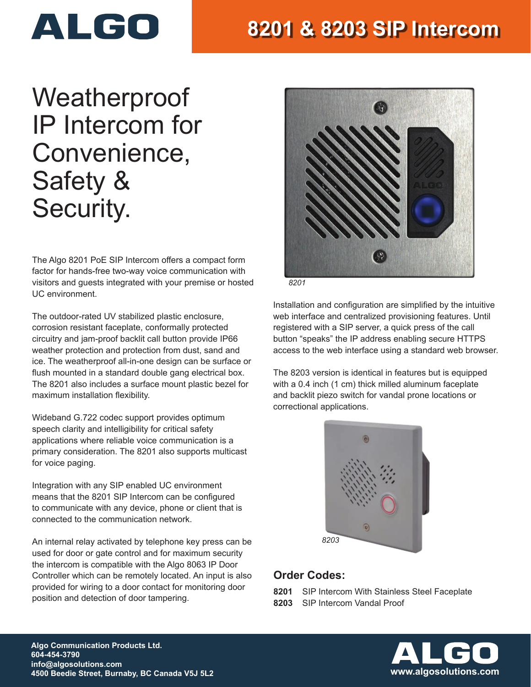

## **8201 & 8203 SIP Intercom**

# Weatherproof IP Intercom for Convenience, Safety & Security.

The Algo 8201 PoE SIP Intercom offers a compact form factor for hands-free two-way voice communication with visitors and guests integrated with your premise or hosted UC environment.

The outdoor-rated UV stabilized plastic enclosure, corrosion resistant faceplate, conformally protected circuitry and jam-proof backlit call button provide IP66 weather protection and protection from dust, sand and ice. The weatherproof all-in-one design can be surface or flush mounted in a standard double gang electrical box. The 8201 also includes a surface mount plastic bezel for maximum installation flexibility.

Wideband G.722 codec support provides optimum speech clarity and intelligibility for critical safety applications where reliable voice communication is a primary consideration. The 8201 also supports multicast for voice paging.

Integration with any SIP enabled UC environment means that the 8201 SIP Intercom can be configured to communicate with any device, phone or client that is connected to the communication network.

An internal relay activated by telephone key press can be used for door or gate control and for maximum security the intercom is compatible with the Algo 8063 IP Door Controller which can be remotely located. An input is also provided for wiring to a door contact for monitoring door position and detection of door tampering.



*8201*

Installation and configuration are simplified by the intuitive web interface and centralized provisioning features. Until registered with a SIP server, a quick press of the call button "speaks" the IP address enabling secure HTTPS access to the web interface using a standard web browser.

The 8203 version is identical in features but is equipped with a 0.4 inch (1 cm) thick milled aluminum faceplate and backlit piezo switch for vandal prone locations or correctional applications.



### **Order Codes:**

- **8201** SIP Intercom With Stainless Steel Faceplate
- **8203** SIP Intercom Vandal Proof



**Algo Communication Products Ltd. 604-454-3790 info@algosolutions.com 4500 Beedie Street, Burnaby, BC Canada V5J 5L2 www.algosolutions.com**